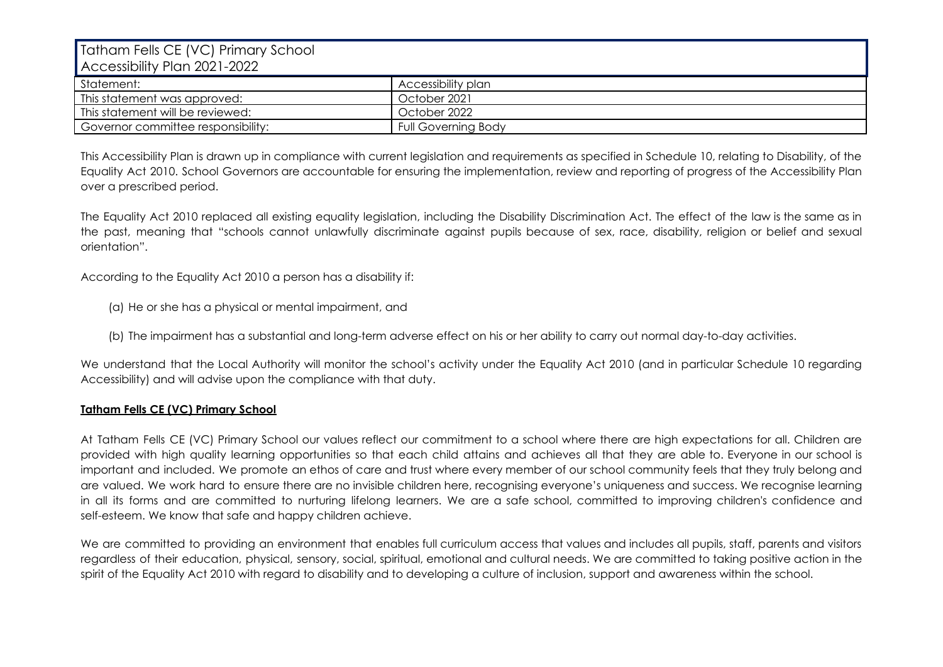| Tatham Fells CE (VC) Primary School<br>Accessibility Plan 2021-2022 |                            |
|---------------------------------------------------------------------|----------------------------|
| Statement:                                                          | Accessibility plan         |
| This statement was approved:                                        | October 2021               |
| This statement will be reviewed:                                    | October 2022               |
| Governor committee responsibility:                                  | <b>Full Governing Body</b> |

This Accessibility Plan is drawn up in compliance with current legislation and requirements as specified in Schedule 10, relating to Disability, of the Equality Act 2010. School Governors are accountable for ensuring the implementation, review and reporting of progress of the Accessibility Plan over a prescribed period.

The Equality Act 2010 replaced all existing equality legislation, including the Disability Discrimination Act. The effect of the law is the same as in the past, meaning that "schools cannot unlawfully discriminate against pupils because of sex, race, disability, religion or belief and sexual orientation".

According to the Equality Act 2010 a person has a disability if:

- (a) He or she has a physical or mental impairment, and
- (b) The impairment has a substantial and long-term adverse effect on his or her ability to carry out normal day-to-day activities.

We understand that the Local Authority will monitor the school's activity under the Equality Act 2010 (and in particular Schedule 10 regarding Accessibility) and will advise upon the compliance with that duty.

## **Tatham Fells CE (VC) Primary School**

At Tatham Fells CE (VC) Primary School our values reflect our commitment to a school where there are high expectations for all. Children are provided with high quality learning opportunities so that each child attains and achieves all that they are able to. Everyone in our school is important and included. We promote an ethos of care and trust where every member of our school community feels that they truly belong and are valued. We work hard to ensure there are no invisible children here, recognising everyone's uniqueness and success. We recognise learning in all its forms and are committed to nurturing lifelong learners. We are a safe school, committed to improving children's confidence and self-esteem. We know that safe and happy children achieve.

We are committed to providing an environment that enables full curriculum access that values and includes all pupils, staff, parents and visitors regardless of their education, physical, sensory, social, spiritual, emotional and cultural needs. We are committed to taking positive action in the spirit of the Equality Act 2010 with regard to disability and to developing a culture of inclusion, support and awareness within the school.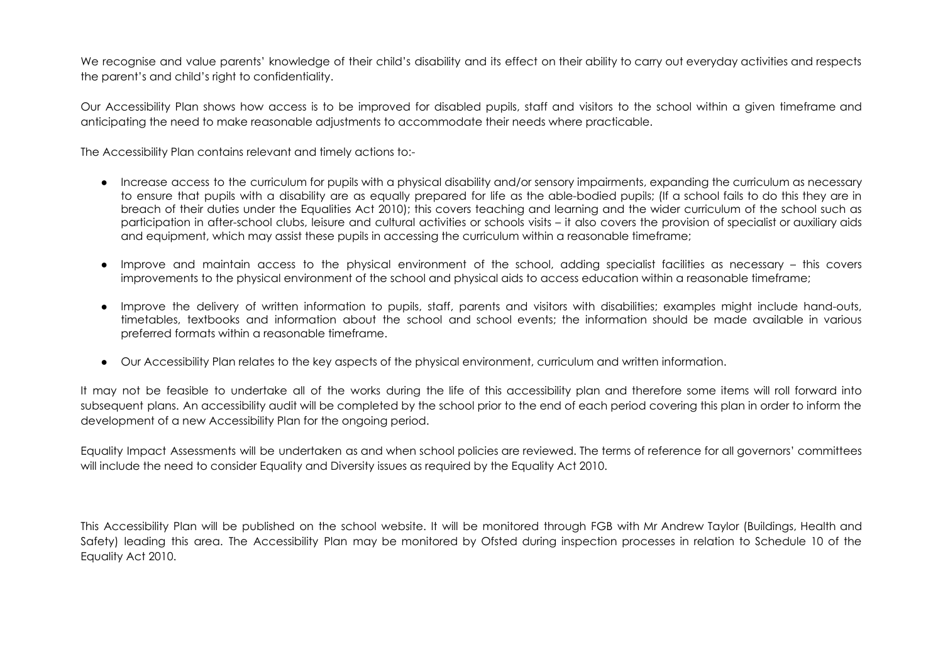We recognise and value parents' knowledge of their child's disability and its effect on their ability to carry out everyday activities and respects the parent's and child's right to confidentiality.

Our Accessibility Plan shows how access is to be improved for disabled pupils, staff and visitors to the school within a given timeframe and anticipating the need to make reasonable adjustments to accommodate their needs where practicable.

The Accessibility Plan contains relevant and timely actions to:-

- Increase access to the curriculum for pupils with a physical disability and/or sensory impairments, expanding the curriculum as necessary to ensure that pupils with a disability are as equally prepared for life as the able-bodied pupils; (If a school fails to do this they are in breach of their duties under the Equalities Act 2010); this covers teaching and learning and the wider curriculum of the school such as participation in after-school clubs, leisure and cultural activities or schools visits – it also covers the provision of specialist or auxiliary aids and equipment, which may assist these pupils in accessing the curriculum within a reasonable timeframe;
- Improve and maintain access to the physical environment of the school, adding specialist facilities as necessary this covers improvements to the physical environment of the school and physical aids to access education within a reasonable timeframe;
- Improve the delivery of written information to pupils, staff, parents and visitors with disabilities; examples might include hand-outs, timetables, textbooks and information about the school and school events; the information should be made available in various preferred formats within a reasonable timeframe.
- Our Accessibility Plan relates to the key aspects of the physical environment, curriculum and written information.

It may not be feasible to undertake all of the works during the life of this accessibility plan and therefore some items will roll forward into subsequent plans. An accessibility audit will be completed by the school prior to the end of each period covering this plan in order to inform the development of a new Accessibility Plan for the ongoing period.

Equality Impact Assessments will be undertaken as and when school policies are reviewed. The terms of reference for all governors' committees will include the need to consider Equality and Diversity issues as required by the Equality Act 2010.

This Accessibility Plan will be published on the school website. It will be monitored through FGB with Mr Andrew Taylor (Buildings, Health and Safety) leading this area. The Accessibility Plan may be monitored by Ofsted during inspection processes in relation to Schedule 10 of the Equality Act 2010.